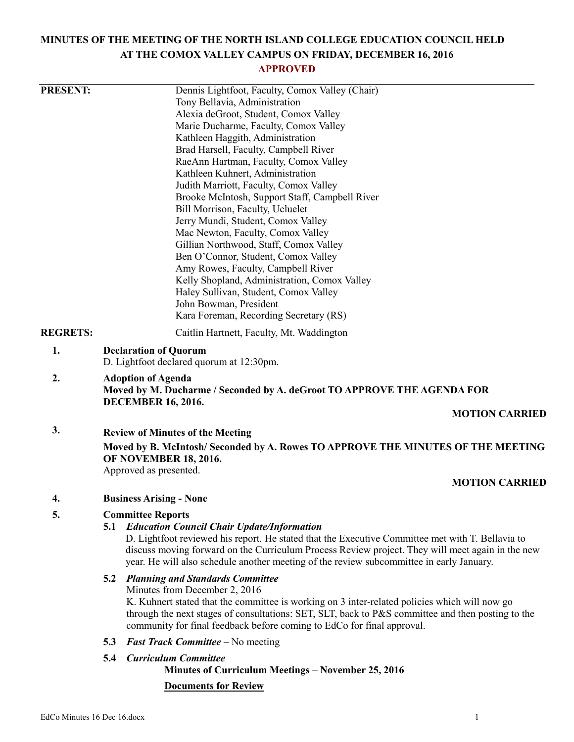# **MINUTES OF THE MEETING OF THE NORTH ISLAND COLLEGE EDUCATION COUNCIL HELD AT THE COMOX VALLEY CAMPUS ON FRIDAY, DECEMBER 16, 2016**

# **APPROVED**

| <b>PRESENT:</b> |                                                                                                                             | Dennis Lightfoot, Faculty, Comox Valley (Chair)                                                                                   |  |
|-----------------|-----------------------------------------------------------------------------------------------------------------------------|-----------------------------------------------------------------------------------------------------------------------------------|--|
|                 |                                                                                                                             | Tony Bellavia, Administration                                                                                                     |  |
|                 |                                                                                                                             | Alexia deGroot, Student, Comox Valley                                                                                             |  |
|                 |                                                                                                                             | Marie Ducharme, Faculty, Comox Valley                                                                                             |  |
|                 |                                                                                                                             | Kathleen Haggith, Administration                                                                                                  |  |
|                 |                                                                                                                             | Brad Harsell, Faculty, Campbell River                                                                                             |  |
|                 |                                                                                                                             | RaeAnn Hartman, Faculty, Comox Valley                                                                                             |  |
|                 |                                                                                                                             | Kathleen Kuhnert, Administration                                                                                                  |  |
|                 |                                                                                                                             | Judith Marriott, Faculty, Comox Valley                                                                                            |  |
|                 |                                                                                                                             | Brooke McIntosh, Support Staff, Campbell River                                                                                    |  |
|                 |                                                                                                                             | Bill Morrison, Faculty, Ucluelet                                                                                                  |  |
|                 |                                                                                                                             | Jerry Mundi, Student, Comox Valley                                                                                                |  |
|                 |                                                                                                                             | Mac Newton, Faculty, Comox Valley                                                                                                 |  |
|                 |                                                                                                                             | Gillian Northwood, Staff, Comox Valley                                                                                            |  |
|                 |                                                                                                                             | Ben O'Connor, Student, Comox Valley                                                                                               |  |
|                 |                                                                                                                             | Amy Rowes, Faculty, Campbell River<br>Kelly Shopland, Administration, Comox Valley                                                |  |
|                 |                                                                                                                             | Haley Sullivan, Student, Comox Valley                                                                                             |  |
|                 |                                                                                                                             | John Bowman, President                                                                                                            |  |
|                 |                                                                                                                             | Kara Foreman, Recording Secretary (RS)                                                                                            |  |
| <b>REGRETS:</b> |                                                                                                                             | Caitlin Hartnett, Faculty, Mt. Waddington                                                                                         |  |
| 1.              | <b>Declaration of Quorum</b>                                                                                                |                                                                                                                                   |  |
|                 |                                                                                                                             | D. Lightfoot declared quorum at 12:30pm.                                                                                          |  |
| 2.              |                                                                                                                             | <b>Adoption of Agenda</b><br>Moved by M. Ducharme / Seconded by A. deGroot TO APPROVE THE AGENDA FOR<br><b>DECEMBER 16, 2016.</b> |  |
|                 |                                                                                                                             | <b>MOTION CARRIED</b>                                                                                                             |  |
| 3.              |                                                                                                                             |                                                                                                                                   |  |
|                 | <b>Review of Minutes of the Meeting</b><br>Moved by B. McIntosh/ Seconded by A. Rowes TO APPROVE THE MINUTES OF THE MEETING |                                                                                                                                   |  |
|                 | <b>OF NOVEMBER 18, 2016.</b>                                                                                                |                                                                                                                                   |  |
|                 |                                                                                                                             | Approved as presented.<br><b>MOTION CARRIED</b>                                                                                   |  |
| 4.              |                                                                                                                             | <b>Business Arising - None</b>                                                                                                    |  |
| 5.              | <b>Committee Reports</b>                                                                                                    |                                                                                                                                   |  |
|                 |                                                                                                                             | <b>5.1 Education Council Chair Update/Information</b>                                                                             |  |
|                 |                                                                                                                             | D. Lightfoot reviewed his report. He stated that the Executive Committee met with T. Bellavia to                                  |  |
|                 |                                                                                                                             | discuss moving forward on the Curriculum Process Review project. They will meet again in the new                                  |  |
|                 |                                                                                                                             | year. He will also schedule another meeting of the review subcommittee in early January.                                          |  |
|                 | 5.2                                                                                                                         | <b>Planning and Standards Committee</b>                                                                                           |  |
|                 |                                                                                                                             | Minutes from December 2, 2016                                                                                                     |  |
|                 |                                                                                                                             | K. Kuhnert stated that the committee is working on 3 inter-related policies which will now go                                     |  |
|                 |                                                                                                                             | through the next stages of consultations: SET, SLT, back to P&S committee and then posting to the                                 |  |
|                 |                                                                                                                             | community for final feedback before coming to EdCo for final approval.                                                            |  |
|                 | 5.3                                                                                                                         | <b>Fast Track Committee - No meeting</b>                                                                                          |  |
|                 | 5.4                                                                                                                         | <b>Curriculum Committee</b><br><b>Minutes of Curriculum Meetings – November 25, 2016</b>                                          |  |
|                 |                                                                                                                             | <b>Documents for Review</b>                                                                                                       |  |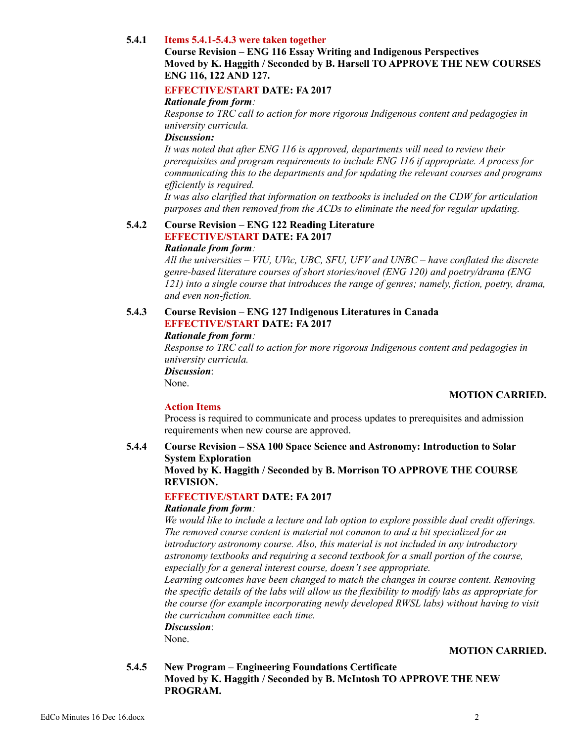# **5.4.1 Items 5.4.1-5.4.3 were taken together**

# **Course Revision – ENG 116 Essay Writing and Indigenous Perspectives Moved by K. Haggith / Seconded by B. Harsell TO APPROVE THE NEW COURSES ENG 116, 122 AND 127.**

# **EFFECTIVE/START DATE: FA 2017**

#### *Rationale from form:*

*Response to TRC call to action for more rigorous Indigenous content and pedagogies in university curricula.*

## *Discussion:*

*It was noted that after ENG 116 is approved, departments will need to review their prerequisites and program requirements to include ENG 116 if appropriate. A process for communicating this to the departments and for updating the relevant courses and programs efficiently is required.*

*It was also clarified that information on textbooks is included on the CDW for articulation purposes and then removed from the ACDs to eliminate the need for regular updating.*

#### **5.4.2 Course Revision – ENG 122 Reading Literature EFFECTIVE/START DATE: FA 2017** *Rationale from form:*

*All the universities – VIU, UVic, UBC, SFU, UFV and UNBC – have conflated the discrete genre-based literature courses of short stories/novel (ENG 120) and poetry/drama (ENG 121) into a single course that introduces the range of genres; namely, fiction, poetry, drama, and even non-fiction.*

# **5.4.3 Course Revision – ENG 127 Indigenous Literatures in Canada EFFECTIVE/START DATE: FA 2017**

*Rationale from form:*

*Response to TRC call to action for more rigorous Indigenous content and pedagogies in university curricula.*

*Discussion*:

None.

# **MOTION CARRIED.**

# **Action Items**

Process is required to communicate and process updates to prerequisites and admission requirements when new course are approved.

#### **5.4.4 Course Revision – SSA 100 Space Science and Astronomy: Introduction to Solar System Exploration Moved by K. Haggith / Seconded by B. Morrison TO APPROVE THE COURSE REVISION.**

# **EFFECTIVE/START DATE: FA 2017**

# *Rationale from form:*

*We would like to include a lecture and lab option to explore possible dual credit offerings. The removed course content is material not common to and a bit specialized for an introductory astronomy course. Also, this material is not included in any introductory astronomy textbooks and requiring a second textbook for a small portion of the course, especially for a general interest course, doesn't see appropriate.*

*Learning outcomes have been changed to match the changes in course content. Removing the specific details of the labs will allow us the flexibility to modify labs as appropriate for the course (for example incorporating newly developed RWSL labs) without having to visit the curriculum committee each time.*

*Discussion*:

None.

# **MOTION CARRIED.**

# **5.4.5 New Program – Engineering Foundations Certificate Moved by K. Haggith / Seconded by B. McIntosh TO APPROVE THE NEW PROGRAM.**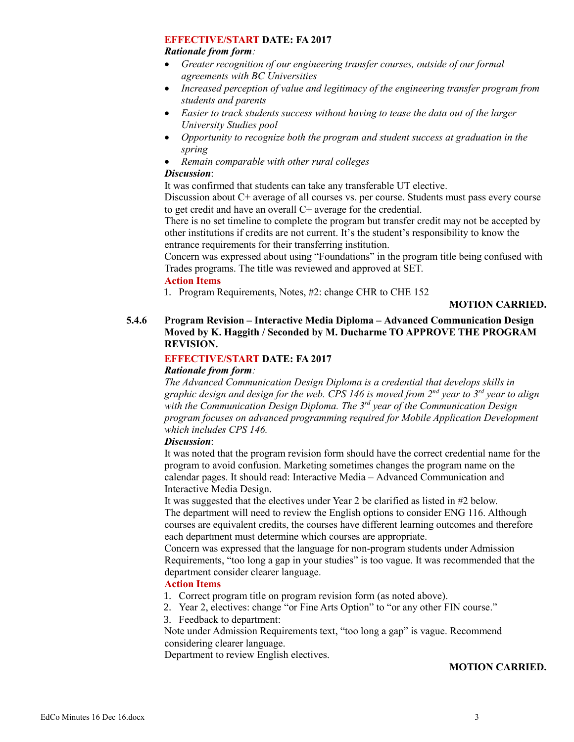### **EFFECTIVE/START DATE: FA 2017**

#### *Rationale from form:*

- *Greater recognition of our engineering transfer courses, outside of our formal agreements with BC Universities*
- *Increased perception of value and legitimacy of the engineering transfer program from students and parents*
- *Easier to track students success without having to tease the data out of the larger University Studies pool*
- *Opportunity to recognize both the program and student success at graduation in the spring*
- *Remain comparable with other rural colleges*

# *Discussion*:

It was confirmed that students can take any transferable UT elective.

Discussion about C+ average of all courses vs. per course. Students must pass every course to get credit and have an overall C+ average for the credential.

There is no set timeline to complete the program but transfer credit may not be accepted by other institutions if credits are not current. It's the student's responsibility to know the entrance requirements for their transferring institution.

Concern was expressed about using "Foundations" in the program title being confused with Trades programs. The title was reviewed and approved at SET.

# **Action Items**

1. Program Requirements, Notes, #2: change CHR to CHE 152

# **MOTION CARRIED.**

# **5.4.6 Program Revision – Interactive Media Diploma – Advanced Communication Design Moved by K. Haggith / Seconded by M. Ducharme TO APPROVE THE PROGRAM REVISION.**

# **EFFECTIVE/START DATE: FA 2017**

# *Rationale from form:*

*The Advanced Communication Design Diploma is a credential that develops skills in graphic design and design for the web. CPS 146 is moved from 2nd year to 3rd year to align with the Communication Design Diploma. The 3rd year of the Communication Design program focuses on advanced programming required for Mobile Application Development which includes CPS 146.*

# *Discussion*:

It was noted that the program revision form should have the correct credential name for the program to avoid confusion. Marketing sometimes changes the program name on the calendar pages. It should read: Interactive Media – Advanced Communication and Interactive Media Design.

It was suggested that the electives under Year 2 be clarified as listed in #2 below. The department will need to review the English options to consider ENG 116. Although courses are equivalent credits, the courses have different learning outcomes and therefore each department must determine which courses are appropriate.

Concern was expressed that the language for non-program students under Admission Requirements, "too long a gap in your studies" is too vague. It was recommended that the department consider clearer language.

# **Action Items**

- 1. Correct program title on program revision form (as noted above).
- 2. Year 2, electives: change "or Fine Arts Option" to "or any other FIN course."
- 3. Feedback to department:

Note under Admission Requirements text, "too long a gap" is vague. Recommend considering clearer language.

Department to review English electives.

# **MOTION CARRIED.**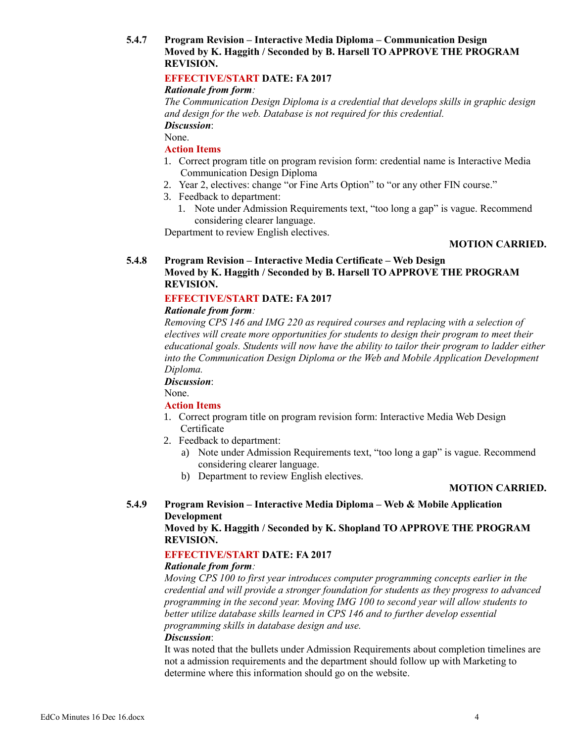# **5.4.7 Program Revision – Interactive Media Diploma – Communication Design Moved by K. Haggith / Seconded by B. Harsell TO APPROVE THE PROGRAM REVISION.**

# **EFFECTIVE/START DATE: FA 2017**

### *Rationale from form:*

*The Communication Design Diploma is a credential that develops skills in graphic design and design for the web. Database is not required for this credential. Discussion*:

None.

# **Action Items**

- 1. Correct program title on program revision form: credential name is Interactive Media Communication Design Diploma
- 2. Year 2, electives: change "or Fine Arts Option" to "or any other FIN course."
- 3. Feedback to department:
	- 1. Note under Admission Requirements text, "too long a gap" is vague. Recommend considering clearer language.

Department to review English electives.

# **MOTION CARRIED.**

## **5.4.8 Program Revision – Interactive Media Certificate – Web Design Moved by K. Haggith / Seconded by B. Harsell TO APPROVE THE PROGRAM REVISION.**

# **EFFECTIVE/START DATE: FA 2017**

#### *Rationale from form:*

*Removing CPS 146 and IMG 220 as required courses and replacing with a selection of electives will create more opportunities for students to design their program to meet their educational goals. Students will now have the ability to tailor their program to ladder either into the Communication Design Diploma or the Web and Mobile Application Development Diploma.*

#### *Discussion*:

None.

#### **Action Items**

- 1. Correct program title on program revision form: Interactive Media Web Design Certificate
- 2. Feedback to department:
	- a) Note under Admission Requirements text, "too long a gap" is vague. Recommend considering clearer language.
	- b) Department to review English electives.

#### **MOTION CARRIED.**

# **5.4.9 Program Revision – Interactive Media Diploma – Web & Mobile Application Development**

**Moved by K. Haggith / Seconded by K. Shopland TO APPROVE THE PROGRAM REVISION.**

# **EFFECTIVE/START DATE: FA 2017**

#### *Rationale from form:*

*Moving CPS 100 to first year introduces computer programming concepts earlier in the credential and will provide a stronger foundation for students as they progress to advanced programming in the second year. Moving IMG 100 to second year will allow students to better utilize database skills learned in CPS 146 and to further develop essential programming skills in database design and use.*

#### *Discussion*:

It was noted that the bullets under Admission Requirements about completion timelines are not a admission requirements and the department should follow up with Marketing to determine where this information should go on the website.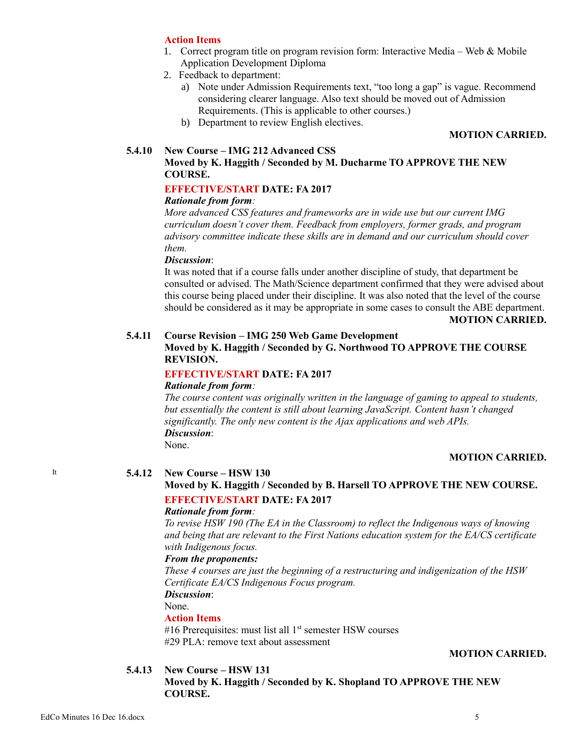#### **Action Items**

- 1. Correct program title on program revision form: Interactive Media Web & Mobile Application Development Diploma
- 2. Feedback to department:
	- a) Note under Admission Requirements text, "too long a gap" is vague. Recommend considering clearer language. Also text should be moved out of Admission Requirements. (This is applicable to other courses.)
	- b) Department to review English electives.

#### **MOTION CARRIED.**

#### **5.4.10 New Course – IMG 212 Advanced CSS Moved by K. Haggith / Seconded by M. Ducharme TO APPROVE THE NEW COURSE.**

#### **EFFECTIVE/START DATE: FA 2017**

## *Rationale from form:*

*More advanced CSS features and frameworks are in wide use but our current IMG curriculum doesn't cover them. Feedback from employers, former grads, and program advisory committee indicate these skills are in demand and our curriculum should cover them.*

#### *Discussion*:

It was noted that if a course falls under another discipline of study, that department be consulted or advised. The Math/Science department confirmed that they were advised about this course being placed under their discipline. It was also noted that the level of the course should be considered as it may be appropriate in some cases to consult the ABE department.

#### **MOTION CARRIED.**

#### **5.4.11 Course Revision – IMG 250 Web Game Development**

**Moved by K. Haggith / Seconded by G. Northwood TO APPROVE THE COURSE REVISION.**

#### **EFFECTIVE/START DATE: FA 2017**

#### *Rationale from form:*

*The course content was originally written in the language of gaming to appeal to students, but essentially the content is still about learning JavaScript. Content hasn't changed significantly. The only new content is the Ajax applications and web APIs. Discussion*: None.

#### **MOTION CARRIED.**

It **5.4.12 New Course – HSW 130**

# **Moved by K. Haggith / Seconded by B. Harsell TO APPROVE THE NEW COURSE. EFFECTIVE/START DATE: FA 2017**

# *Rationale from form:*

*To revise HSW 190 (The EA in the Classroom) to reflect the Indigenous ways of knowing and being that are relevant to the First Nations education system for the EA/CS certificate with Indigenous focus.*

#### *From the proponents:*

*These 4 courses are just the beginning of a restructuring and indigenization of the HSW Certificate EA/CS Indigenous Focus program.*

*Discussion*:

None.

#### **Action Items**

#16 Prerequisites: must list all  $1<sup>st</sup>$  semester HSW courses #29 PLA: remove text about assessment

#### **MOTION CARRIED.**

#### **5.4.13 New Course – HSW 131**

**Moved by K. Haggith / Seconded by K. Shopland TO APPROVE THE NEW COURSE.**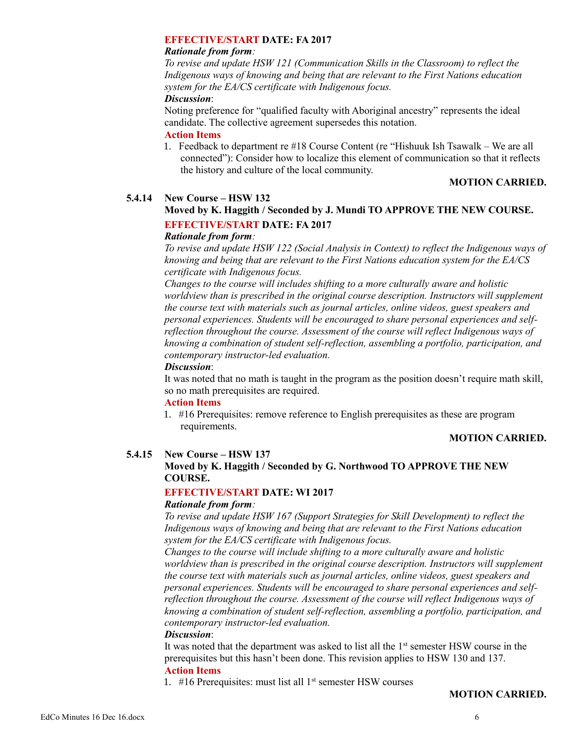#### **EFFECTIVE/START DATE: FA 2017**

#### *Rationale from form:*

*To revise and update HSW 121 (Communication Skills in the Classroom) to reflect the Indigenous ways of knowing and being that are relevant to the First Nations education system for the EA/CS certificate with Indigenous focus.*

#### *Discussion*:

Noting preference for "qualified faculty with Aboriginal ancestry" represents the ideal candidate. The collective agreement supersedes this notation.

# **Action Items**

1. Feedback to department re #18 Course Content (re "Hishuuk Ish Tsawalk – We are all connected"): Consider how to localize this element of communication so that it reflects the history and culture of the local community.

#### **MOTION CARRIED.**

# **5.4.14 New Course – HSW 132**

# **Moved by K. Haggith / Seconded by J. Mundi TO APPROVE THE NEW COURSE. EFFECTIVE/START DATE: FA 2017**

#### *Rationale from form:*

*To revise and update HSW 122 (Social Analysis in Context) to reflect the Indigenous ways of knowing and being that are relevant to the First Nations education system for the EA/CS certificate with Indigenous focus.*

*Changes to the course will includes shifting to a more culturally aware and holistic*  worldview than is prescribed in the original course description. Instructors will supplement *the course text with materials such as journal articles, online videos, guest speakers and personal experiences. Students will be encouraged to share personal experiences and selfreflection throughout the course. Assessment of the course will reflect Indigenous ways of knowing a combination of student self-reflection, assembling a portfolio, participation, and contemporary instructor-led evaluation.*

# *Discussion*:

It was noted that no math is taught in the program as the position doesn't require math skill, so no math prerequisites are required.

#### **Action Items**

1. #16 Prerequisites: remove reference to English prerequisites as these are program requirements.

# **MOTION CARRIED.**

# **5.4.15 New Course – HSW 137**

# **Moved by K. Haggith / Seconded by G. Northwood TO APPROVE THE NEW COURSE.**

# **EFFECTIVE/START DATE: WI 2017**

#### *Rationale from form:*

*To revise and update HSW 167 (Support Strategies for Skill Development) to reflect the Indigenous ways of knowing and being that are relevant to the First Nations education system for the EA/CS certificate with Indigenous focus.*

*Changes to the course will include shifting to a more culturally aware and holistic*  worldview than is prescribed in the original course description. Instructors will supplement *the course text with materials such as journal articles, online videos, guest speakers and personal experiences. Students will be encouraged to share personal experiences and selfreflection throughout the course. Assessment of the course will reflect Indigenous ways of knowing a combination of student self-reflection, assembling a portfolio, participation, and contemporary instructor-led evaluation.*

#### *Discussion*:

It was noted that the department was asked to list all the  $1<sup>st</sup>$  semester HSW course in the prerequisites but this hasn't been done. This revision applies to HSW 130 and 137. **Action Items**

1.  $\#16$  Prerequisites: must list all  $1<sup>st</sup>$  semester HSW courses

#### **MOTION CARRIED.**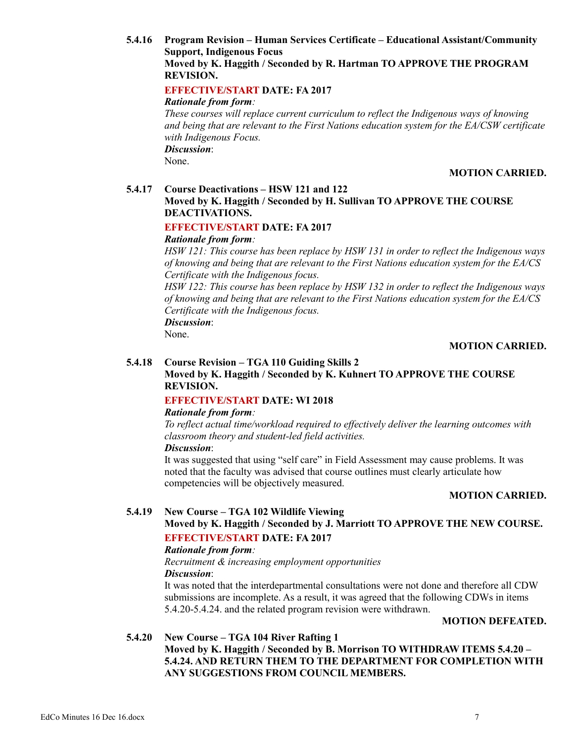**5.4.16 Program Revision – Human Services Certificate – Educational Assistant/Community Support, Indigenous Focus Moved by K. Haggith / Seconded by R. Hartman TO APPROVE THE PROGRAM REVISION.**

# **EFFECTIVE/START DATE: FA 2017**

*Rationale from form:*

*These courses will replace current curriculum to reflect the Indigenous ways of knowing and being that are relevant to the First Nations education system for the EA/CSW certificate with Indigenous Focus. Discussion*:

None.

## **MOTION CARRIED.**

#### **5.4.17 Course Deactivations – HSW 121 and 122 Moved by K. Haggith / Seconded by H. Sullivan TO APPROVE THE COURSE DEACTIVATIONS.**

# **EFFECTIVE/START DATE: FA 2017**

# *Rationale from form:*

*HSW 121: This course has been replace by HSW 131 in order to reflect the Indigenous ways of knowing and being that are relevant to the First Nations education system for the EA/CS Certificate with the Indigenous focus.*

*HSW 122: This course has been replace by HSW 132 in order to reflect the Indigenous ways of knowing and being that are relevant to the First Nations education system for the EA/CS Certificate with the Indigenous focus.*

*Discussion*:

# None.

# **MOTION CARRIED.**

# **5.4.18 Course Revision – TGA 110 Guiding Skills 2**

# **Moved by K. Haggith / Seconded by K. Kuhnert TO APPROVE THE COURSE REVISION.**

# **EFFECTIVE/START DATE: WI 2018**

#### *Rationale from form:*

*To reflect actual time/workload required to effectively deliver the learning outcomes with classroom theory and student-led field activities.*

### *Discussion*:

It was suggested that using "self care" in Field Assessment may cause problems. It was noted that the faculty was advised that course outlines must clearly articulate how competencies will be objectively measured.

#### **MOTION CARRIED.**

# **5.4.19 New Course – TGA 102 Wildlife Viewing**

# **Moved by K. Haggith / Seconded by J. Marriott TO APPROVE THE NEW COURSE. EFFECTIVE/START DATE: FA 2017**

# *Rationale from form:*

*Recruitment & increasing employment opportunities*

# *Discussion*:

It was noted that the interdepartmental consultations were not done and therefore all CDW submissions are incomplete. As a result, it was agreed that the following CDWs in items 5.4.20-5.4.24. and the related program revision were withdrawn.

# **MOTION DEFEATED.**

# **5.4.20 New Course – TGA 104 River Rafting 1**

**Moved by K. Haggith / Seconded by B. Morrison TO WITHDRAW ITEMS 5.4.20 – 5.4.24. AND RETURN THEM TO THE DEPARTMENT FOR COMPLETION WITH ANY SUGGESTIONS FROM COUNCIL MEMBERS.**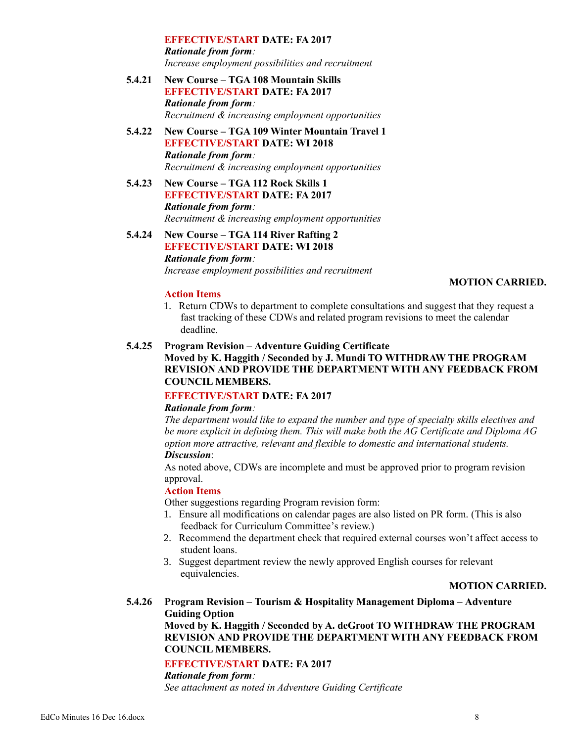**EFFECTIVE/START DATE: FA 2017** *Rationale from form: Increase employment possibilities and recruitment*

- **5.4.21 New Course – TGA 108 Mountain Skills EFFECTIVE/START DATE: FA 2017** *Rationale from form: Recruitment & increasing employment opportunities*
- **5.4.22 New Course – TGA 109 Winter Mountain Travel 1 EFFECTIVE/START DATE: WI 2018** *Rationale from form: Recruitment & increasing employment opportunities*
- **5.4.23 New Course – TGA 112 Rock Skills 1 EFFECTIVE/START DATE: FA 2017** *Rationale from form: Recruitment & increasing employment opportunities*
- **5.4.24 New Course – TGA 114 River Rafting 2 EFFECTIVE/START DATE: WI 2018** *Rationale from form: Increase employment possibilities and recruitment*

#### **MOTION CARRIED.**

#### **Action Items**

1. Return CDWs to department to complete consultations and suggest that they request a fast tracking of these CDWs and related program revisions to meet the calendar deadline.

#### **5.4.25 Program Revision – Adventure Guiding Certificate**

# **Moved by K. Haggith / Seconded by J. Mundi TO WITHDRAW THE PROGRAM REVISION AND PROVIDE THE DEPARTMENT WITH ANY FEEDBACK FROM COUNCIL MEMBERS.**

# **EFFECTIVE/START DATE: FA 2017**

#### *Rationale from form:*

*The department would like to expand the number and type of specialty skills electives and be more explicit in defining them. This will make both the AG Certificate and Diploma AG option more attractive, relevant and flexible to domestic and international students. Discussion*:

As noted above, CDWs are incomplete and must be approved prior to program revision approval.

#### **Action Items**

Other suggestions regarding Program revision form:

- 1. Ensure all modifications on calendar pages are also listed on PR form. (This is also feedback for Curriculum Committee's review.)
- 2. Recommend the department check that required external courses won't affect access to student loans.
- 3. Suggest department review the newly approved English courses for relevant equivalencies.

#### **MOTION CARRIED.**

**5.4.26 Program Revision – Tourism & Hospitality Management Diploma – Adventure Guiding Option Moved by K. Haggith / Seconded by A. deGroot TO WITHDRAW THE PROGRAM REVISION AND PROVIDE THE DEPARTMENT WITH ANY FEEDBACK FROM COUNCIL MEMBERS.**

#### **EFFECTIVE/START DATE: FA 2017**

*Rationale from form:*

*See attachment as noted in Adventure Guiding Certificate*